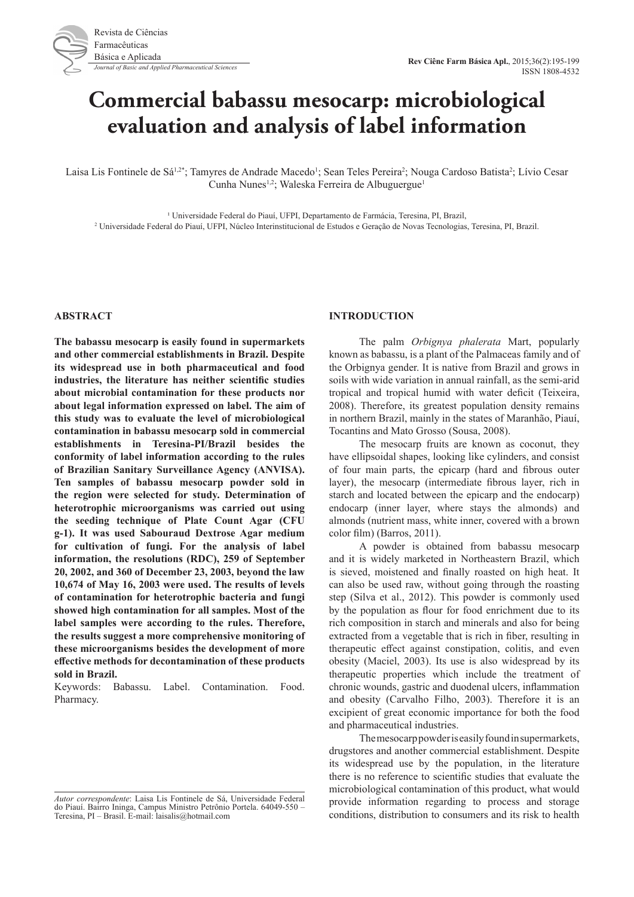# **Commercial babassu mesocarp: microbiological evaluation and analysis of label information**

Laisa Lis Fontinele de Sá<sup>1,2\*</sup>; Tamyres de Andrade Macedo<sup>1</sup>; Sean Teles Pereira<sup>2</sup>; Nouga Cardoso Batista<sup>2</sup>; Lívio Cesar Cunha Nunes<sup>1,2</sup>; Waleska Ferreira de Albuguergue<sup>1</sup>

<sup>1</sup> Universidade Federal do Piauí, UFPI, Departamento de Farmácia, Teresina, PI, Brazil, Universidade Federal do Piauí, UFPI, Núcleo Interinstitucional de Estudos e Geração de Novas Tecnologias, Teresina, PI, Brazil.

## **ABSTRACT**

**The babassu mesocarp is easily found in supermarkets and other commercial establishments in Brazil. Despite its widespread use in both pharmaceutical and food industries, the literature has neither scientific studies about microbial contamination for these products nor about legal information expressed on label. The aim of this study was to evaluate the level of microbiological contamination in babassu mesocarp sold in commercial establishments in Teresina-PI/Brazil besides the conformity of label information according to the rules of Brazilian Sanitary Surveillance Agency (ANVISA). Ten samples of babassu mesocarp powder sold in the region were selected for study. Determination of heterotrophic microorganisms was carried out using the seeding technique of Plate Count Agar (CFU g-1). It was used Sabouraud Dextrose Agar medium for cultivation of fungi. For the analysis of label information, the resolutions (RDC), 259 of September 20, 2002, and 360 of December 23, 2003, beyond the law 10,674 of May 16, 2003 were used. The results of levels of contamination for heterotrophic bacteria and fungi showed high contamination for all samples. Most of the label samples were according to the rules. Therefore, the results suggest a more comprehensive monitoring of these microorganisms besides the development of more effective methods for decontamination of these products sold in Brazil.**

Keywords: Babassu. Label. Contamination. Food. Pharmacy.

## **INTRODUCTION**

The palm *Orbignya phalerata* Mart, popularly known as babassu, is a plant of the Palmaceas family and of the Orbignya gender. It is native from Brazil and grows in soils with wide variation in annual rainfall, as the semi-arid tropical and tropical humid with water deficit (Teixeira, 2008). Therefore, its greatest population density remains in northern Brazil, mainly in the states of Maranhão, Piauí, Tocantins and Mato Grosso (Sousa, 2008).

The mesocarp fruits are known as coconut, they have ellipsoidal shapes, looking like cylinders, and consist of four main parts, the epicarp (hard and fibrous outer layer), the mesocarp (intermediate fibrous layer, rich in starch and located between the epicarp and the endocarp) endocarp (inner layer, where stays the almonds) and almonds (nutrient mass, white inner, covered with a brown color film) (Barros, 2011).

A powder is obtained from babassu mesocarp and it is widely marketed in Northeastern Brazil, which is sieved, moistened and finally roasted on high heat. It can also be used raw, without going through the roasting step (Silva et al., 2012). This powder is commonly used by the population as flour for food enrichment due to its rich composition in starch and minerals and also for being extracted from a vegetable that is rich in fiber, resulting in therapeutic effect against constipation, colitis, and even obesity (Maciel, 2003). Its use is also widespread by its therapeutic properties which include the treatment of chronic wounds, gastric and duodenal ulcers, inflammation and obesity (Carvalho Filho, 2003). Therefore it is an excipient of great economic importance for both the food and pharmaceutical industries.

The mesocarp powder is easily found in supermarkets, drugstores and another commercial establishment. Despite its widespread use by the population, in the literature there is no reference to scientific studies that evaluate the microbiological contamination of this product, what would provide information regarding to process and storage conditions, distribution to consumers and its risk to health

*Autor correspondente*: Laisa Lis Fontinele de Sá, Universidade Federal do Piauí. Bairro Ininga, Campus Ministro Petrônio Portela. 64049-550 – Teresina, PI – Brasil. E-mail: laisalis@hotmail.com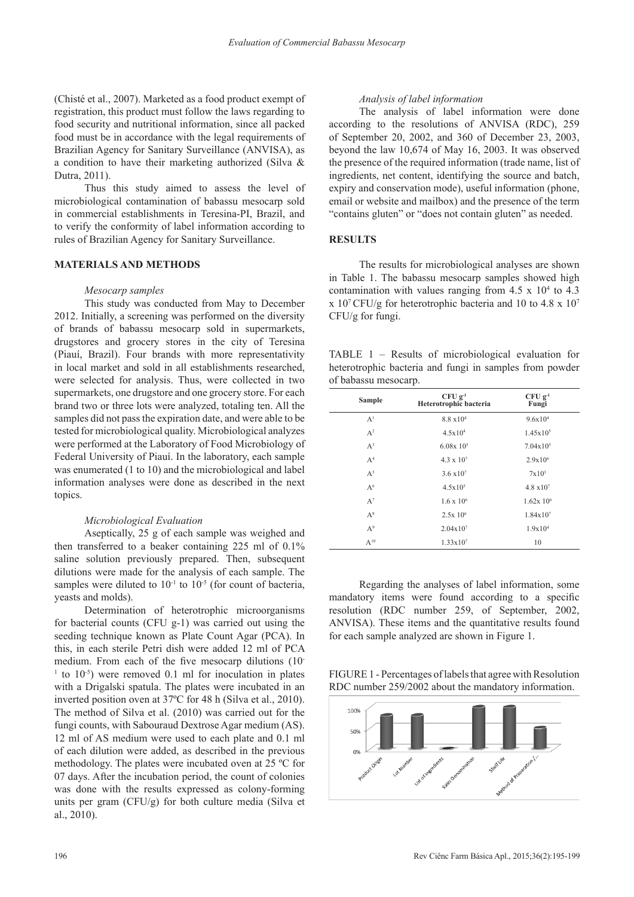(Chisté et al., 2007). Marketed as a food product exempt of registration, this product must follow the laws regarding to food security and nutritional information, since all packed food must be in accordance with the legal requirements of Brazilian Agency for Sanitary Surveillance (ANVISA), as a condition to have their marketing authorized (Silva & Dutra, 2011).

Thus this study aimed to assess the level of microbiological contamination of babassu mesocarp sold in commercial establishments in Teresina-PI, Brazil, and to verify the conformity of label information according to rules of Brazilian Agency for Sanitary Surveillance.

# **MATERIALS AND METHODS**

#### *Mesocarp samples*

This study was conducted from May to December 2012. Initially, a screening was performed on the diversity of brands of babassu mesocarp sold in supermarkets, drugstores and grocery stores in the city of Teresina (Piauí, Brazil). Four brands with more representativity in local market and sold in all establishments researched, were selected for analysis. Thus, were collected in two supermarkets, one drugstore and one grocery store. For each brand two or three lots were analyzed, totaling ten. All the samples did not pass the expiration date, and were able to be tested for microbiological quality. Microbiological analyzes were performed at the Laboratory of Food Microbiology of Federal University of Piauí. In the laboratory, each sample was enumerated (1 to 10) and the microbiological and label information analyses were done as described in the next topics.

#### *Microbiological Evaluation*

Aseptically, 25 g of each sample was weighed and then transferred to a beaker containing 225 ml of 0.1% saline solution previously prepared. Then, subsequent dilutions were made for the analysis of each sample. The samples were diluted to  $10^{-1}$  to  $10^{-5}$  (for count of bacteria, yeasts and molds).

Determination of heterotrophic microorganisms for bacterial counts (CFU g-1) was carried out using the seeding technique known as Plate Count Agar (PCA). In this, in each sterile Petri dish were added 12 ml of PCA medium. From each of the five mesocarp dilutions (10-  $1$  to  $10^{-5}$ ) were removed 0.1 ml for inoculation in plates with a Drigalski spatula. The plates were incubated in an inverted position oven at 37ºC for 48 h (Silva et al., 2010). The method of Silva et al. (2010) was carried out for the fungi counts, with Sabouraud Dextrose Agar medium (AS). 12 ml of AS medium were used to each plate and 0.1 ml of each dilution were added, as described in the previous methodology. The plates were incubated oven at 25 ºC for 07 days. After the incubation period, the count of colonies was done with the results expressed as colony-forming units per gram  $(CFU/g)$  for both culture media (Silva et al., 2010).

# *Analysis of label information*

The analysis of label information were done according to the resolutions of ANVISA (RDC), 259 of September 20, 2002, and 360 of December 23, 2003, beyond the law 10,674 of May 16, 2003. It was observed the presence of the required information (trade name, list of ingredients, net content, identifying the source and batch, expiry and conservation mode), useful information (phone, email or website and mailbox) and the presence of the term "contains gluten" or "does not contain gluten" as needed.

## **RESULTS**

The results for microbiological analyses are shown in Table 1. The babassu mesocarp samples showed high contamination with values ranging from  $4.5 \times 10^4$  to  $4.3$ x 10<sup>7</sup>CFU/g for heterotrophic bacteria and 10 to 4.8 x 10<sup>7</sup> CFU/g for fungi.

TABLE 1 – Results of microbiological evaluation for heterotrophic bacteria and fungi in samples from powder of babassu mesocarp.

| <b>Sample</b>  | $CFU$ $g^{-1}$<br>Heterotrophic bacteria | $CFUg^{-1}$<br>Fungi |
|----------------|------------------------------------------|----------------------|
| A <sup>1</sup> | $8.8 \times 10^{4}$                      | 9.6x104              |
| A <sup>2</sup> | 4.5x104                                  | $1.45x10^{5}$        |
| $A^3$          | $6.08x$ 10 <sup>5</sup>                  | $7.04x10^{5}$        |
| A <sup>4</sup> | $4.3 \times 10^{7}$                      | $2.9x10^{6}$         |
| $A^5$          | $3.6 \times 10^{7}$                      | $7x10^3$             |
| A <sup>6</sup> | $4.5x10^{5}$                             | $4.8 \times 10^{7}$  |
| $A^7$          | $1.6 \times 10^{6}$                      | $1.62x\ 10^6$        |
| $A^8$          | 2.5x 10 <sup>6</sup>                     | 1.84x107             |
| $A^9$          | $2.04x10^{7}$                            | 1.9x10 <sup>4</sup>  |
| $A^{10}$       | $1.33 \times 10^7$                       | 10                   |

Regarding the analyses of label information, some mandatory items were found according to a specific resolution (RDC number 259, of September, 2002, ANVISA). These items and the quantitative results found for each sample analyzed are shown in Figure 1.

FIGURE 1 - Percentages of labels that agree with Resolution RDC number 259/2002 about the mandatory information.

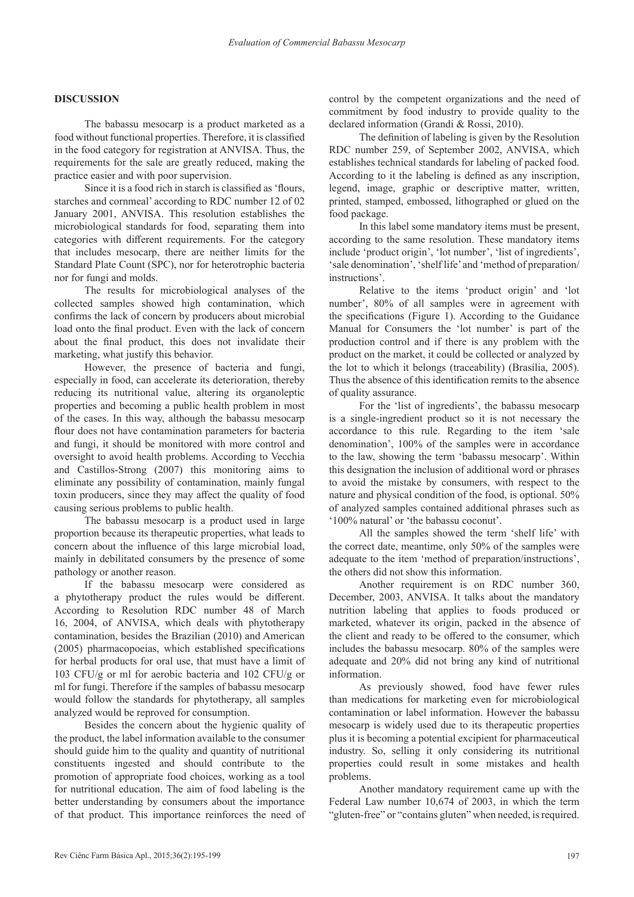## **DISCUSSION**

The babassu mesocarp is a product marketed as a food without functional properties. Therefore, it is classified in the food category for registration at ANVISA. Thus, the requirements for the sale are greatly reduced, making the practice easier and with poor supervision.

Since it is a food rich in starch is classified as 'flours, starches and cornmeal' according to RDC number 12 of 02 January 2001, ANVISA. This resolution establishes the microbiological standards for food, separating them into categories with different requirements. For the category that includes mesocarp, there are neither limits for the Standard Plate Count (SPC), nor for heterotrophic bacteria nor for fungi and molds.

The results for microbiological analyses of the collected samples showed high contamination, which confirms the lack of concern by producers about microbial load onto the final product. Even with the lack of concern about the final product, this does not invalidate their marketing, what justify this behavior.

However, the presence of bacteria and fungi, especially in food, can accelerate its deterioration, thereby reducing its nutritional value, altering its organoleptic properties and becoming a public health problem in most of the cases. In this way, although the babassu mesocarp flour does not have contamination parameters for bacteria and fungi, it should be monitored with more control and oversight to avoid health problems. According to Vecchia and Castillos-Strong (2007) this monitoring aims to eliminate any possibility of contamination, mainly fungal toxin producers, since they may affect the quality of food causing serious problems to public health.

The babassu mesocarp is a product used in large proportion because its therapeutic properties, what leads to concern about the influence of this large microbial load, mainly in debilitated consumers by the presence of some pathology or another reason.

If the babassu mesocarp were considered as a phytotherapy product the rules would be different. According to Resolution RDC number 48 of March 16, 2004, of ANVISA, which deals with phytotherapy contamination, besides the Brazilian (2010) and American (2005) pharmacopoeias, which established specifications for herbal products for oral use, that must have a limit of 103 CFU/g or ml for aerobic bacteria and 102 CFU/g or ml for fungi. Therefore if the samples of babassu mesocarp would follow the standards for phytotherapy, all samples analyzed would be reproved for consumption.

Besides the concern about the hygienic quality of the product, the label information available to the consumer should guide him to the quality and quantity of nutritional constituents ingested and should contribute to the promotion of appropriate food choices, working as a tool for nutritional education. The aim of food labeling is the better understanding by consumers about the importance of that product. This importance reinforces the need of control by the competent organizations and the need of commitment by food industry to provide quality to the declared information (Grandi & Rossi, 2010).

The definition of labeling is given by the Resolution RDC number 259, of September 2002, ANVISA, which establishes technical standards for labeling of packed food. According to it the labeling is defined as any inscription, legend, image, graphic or descriptive matter, written, printed, stamped, embossed, lithographed or glued on the food package.

In this label some mandatory items must be present, according to the same resolution. These mandatory items include 'product origin', 'lot number', 'list of ingredients', 'sale denomination', 'shelf life' and 'method of preparation/ instructions'.

Relative to the items 'product origin' and 'lot number', 80% of all samples were in agreement with the specifications (Figure 1). According to the Guidance Manual for Consumers the 'lot number' is part of the production control and if there is any problem with the product on the market, it could be collected or analyzed by the lot to which it belongs (traceability) (Brasília, 2005). Thus the absence of this identification remits to the absence of quality assurance.

For the 'list of ingredients', the babassu mesocarp is a single-ingredient product so it is not necessary the accordance to this rule. Regarding to the item 'sale denomination', 100% of the samples were in accordance to the law, showing the term 'babassu mesocarp'. Within this designation the inclusion of additional word or phrases to avoid the mistake by consumers, with respect to the nature and physical condition of the food, is optional. 50% of analyzed samples contained additional phrases such as '100% natural' or 'the babassu coconut'.

All the samples showed the term 'shelf life' with the correct date, meantime, only 50% of the samples were adequate to the item 'method of preparation/instructions', the others did not show this information.

Another requirement is on RDC number 360, December, 2003, ANVISA. It talks about the mandatory nutrition labeling that applies to foods produced or marketed, whatever its origin, packed in the absence of the client and ready to be offered to the consumer, which includes the babassu mesocarp. 80% of the samples were adequate and 20% did not bring any kind of nutritional information.

As previously showed, food have fewer rules than medications for marketing even for microbiological contamination or label information. However the babassu mesocarp is widely used due to its therapeutic properties plus it is becoming a potential excipient for pharmaceutical industry. So, selling it only considering its nutritional properties could result in some mistakes and health problems.

Another mandatory requirement came up with the Federal Law number 10,674 of 2003, in which the term "gluten-free" or "contains gluten" when needed, is required.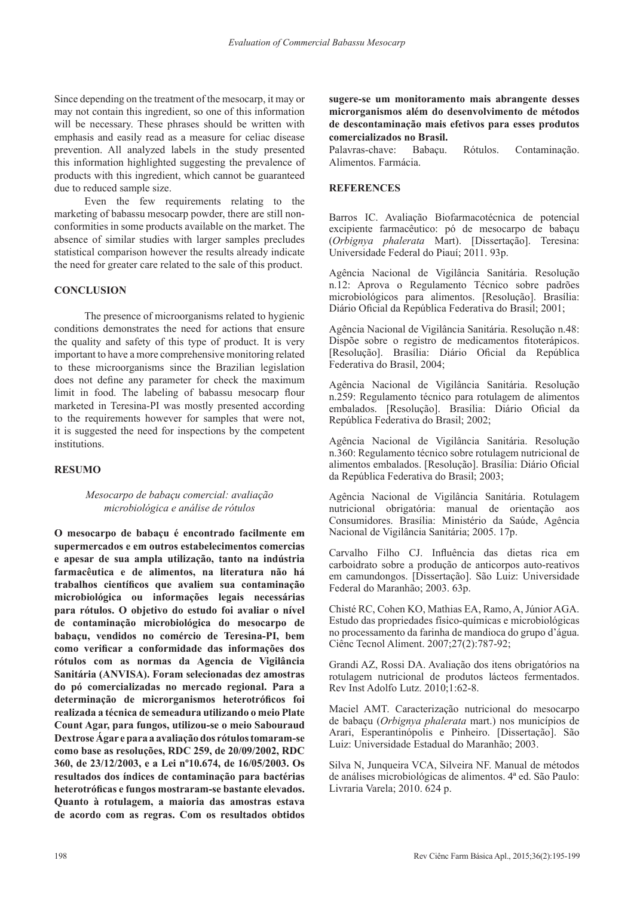Since depending on the treatment of the mesocarp, it may or may not contain this ingredient, so one of this information will be necessary. These phrases should be written with emphasis and easily read as a measure for celiac disease prevention. All analyzed labels in the study presented this information highlighted suggesting the prevalence of products with this ingredient, which cannot be guaranteed due to reduced sample size.

Even the few requirements relating to the marketing of babassu mesocarp powder, there are still nonconformities in some products available on the market. The absence of similar studies with larger samples precludes statistical comparison however the results already indicate the need for greater care related to the sale of this product.

# **CONCLUSION**

The presence of microorganisms related to hygienic conditions demonstrates the need for actions that ensure the quality and safety of this type of product. It is very important to have a more comprehensive monitoring related to these microorganisms since the Brazilian legislation does not define any parameter for check the maximum limit in food. The labeling of babassu mesocarp flour marketed in Teresina-PI was mostly presented according to the requirements however for samples that were not, it is suggested the need for inspections by the competent institutions.

#### **RESUMO**

# *Mesocarpo de babaçu comercial: avaliação microbiológica e análise de rótulos*

**O mesocarpo de babaçu é encontrado facilmente em supermercados e em outros estabelecimentos comercias e apesar de sua ampla utilização, tanto na indústria farmacêutica e de alimentos, na literatura não há trabalhos científicos que avaliem sua contaminação microbiológica ou informações legais necessárias para rótulos. O objetivo do estudo foi avaliar o nível de contaminação microbiológica do mesocarpo de babaçu, vendidos no comércio de Teresina-PI, bem como verificar a conformidade das informações dos rótulos com as normas da Agencia de Vigilância Sanitária (ANVISA). Foram selecionadas dez amostras do pó comercializadas no mercado regional. Para a determinação de microrganismos heterotróficos foi realizada a técnica de semeadura utilizando o meio Plate Count Agar, para fungos, utilizou-se o meio Sabouraud Dextrose Ágar e para a avaliação dos rótulos tomaram-se como base as resoluções, RDC 259, de 20/09/2002, RDC 360, de 23/12/2003, e a Lei nº10.674, de 16/05/2003. Os resultados dos índices de contaminação para bactérias heterotróficas e fungos mostraram-se bastante elevados. Quanto à rotulagem, a maioria das amostras estava de acordo com as regras. Com os resultados obtidos** 

**sugere-se um monitoramento mais abrangente desses microrganismos além do desenvolvimento de métodos de descontaminação mais efetivos para esses produtos comercializados no Brasil.**

Palavras-chave: Babaçu. Rótulos. Contaminação. Alimentos. Farmácia.

## **REFERENCES**

Barros IC. Avaliação Biofarmacotécnica de potencial excipiente farmacêutico: pó de mesocarpo de babaçu (*Orbignya phalerata* Mart). [Dissertação]. Teresina: Universidade Federal do Piauí; 2011. 93p.

Agência Nacional de Vigilância Sanitária. Resolução n.12: Aprova o Regulamento Técnico sobre padrões microbiológicos para alimentos. [Resolução]. Brasília: Diário Oficial da República Federativa do Brasil; 2001;

Agência Nacional de Vigilância Sanitária. Resolução n.48: Dispõe sobre o registro de medicamentos fitoterápicos. [Resolução]. Brasília: Diário Oficial da República Federativa do Brasil, 2004;

Agência Nacional de Vigilância Sanitária. Resolução n.259: Regulamento técnico para rotulagem de alimentos embalados. [Resolução]. Brasília: Diário Oficial da República Federativa do Brasil; 2002;

Agência Nacional de Vigilância Sanitária. Resolução n.360: Regulamento técnico sobre rotulagem nutricional de alimentos embalados. [Resolução]. Brasília: Diário Oficial da República Federativa do Brasil; 2003;

Agência Nacional de Vigilância Sanitária. Rotulagem nutricional obrigatória: manual de orientação aos Consumidores. Brasília: Ministério da Saúde, Agência Nacional de Vigilância Sanitária; 2005. 17p.

Carvalho Filho CJ. Influência das dietas rica em carboidrato sobre a produção de anticorpos auto-reativos em camundongos. [Dissertação]. São Luiz: Universidade Federal do Maranhão; 2003. 63p.

Chisté RC, Cohen KO, Mathias EA, Ramo, A, Júnior AGA. Estudo das propriedades físico-químicas e microbiológicas no processamento da farinha de mandioca do grupo d'água. Ciênc Tecnol Aliment. 2007;27(2):787-92;

Grandi AZ, Rossi DA. Avaliação dos itens obrigatórios na rotulagem nutricional de produtos lácteos fermentados. Rev Inst Adolfo Lutz. 2010;1:62-8.

Maciel AMT. Caracterização nutricional do mesocarpo de babaçu (*Orbignya phalerata* mart.) nos municípios de Arari, Esperantinópolis e Pinheiro. [Dissertação]. São Luiz: Universidade Estadual do Maranhão; 2003.

Silva N, Junqueira VCA, Silveira NF. Manual de métodos de análises microbiológicas de alimentos. 4ª ed. São Paulo: Livraria Varela; 2010. 624 p.